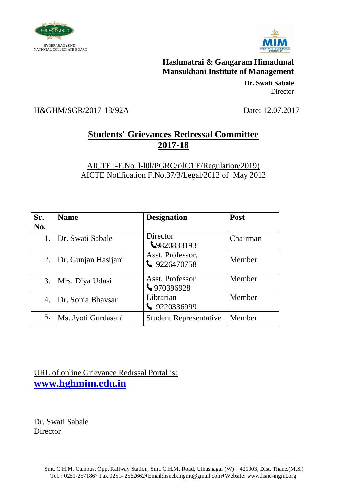



> **Dr. Swati Sabale** Director

H&GHM/SGR/2017-18/92A Date: 12.07.2017

# **Students' Grievances Redressal Committee 2017-18**

#### AICTE :-F.No. l-l0l/PGRC/r\lC1'E/Regulation/2019) AICTE Notification F.No.37/3/Legal/2012 of May 2012

| Sr. | <b>Name</b>            | <b>Designation</b>                       | Post     |
|-----|------------------------|------------------------------------------|----------|
| No. |                        |                                          |          |
|     | 1. Dr. Swati Sabale    | Director<br>9820833193                   | Chairman |
| 2.  | Dr. Gunjan Hasijani    | Asst. Professor,<br>$\bigcup$ 9226470758 | Member   |
| 3.  | Mrs. Diya Udasi        | Asst. Professor<br>₹970396928            | Member   |
|     | 4.   Dr. Sonia Bhaysar | Librarian<br>$\big\}$ 9220336999         | Member   |
| 5.  | Ms. Jyoti Gurdasani    | <b>Student Representative</b>            | Member   |

URL of online Grievance Redrssal Portal is: **[www.hghmim.edu.in](http://www.hghmim.edu.in/)**

Dr. Swati Sabale Director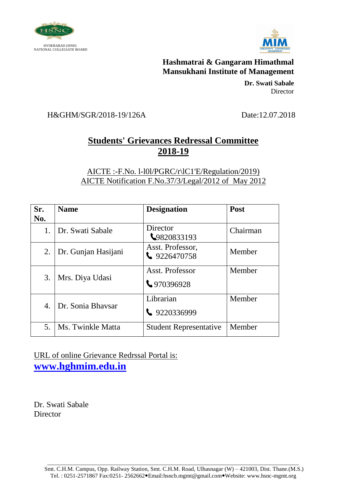



> **Dr. Swati Sabale** Director

### H&GHM/SGR/2018-19/126A Date:12.07.2018

## **Students' Grievances Redressal Committee 2018-19**

#### AICTE :-F.No. l-l0l/PGRC/r\lC1'E/Regulation/2019) AICTE Notification F.No.37/3/Legal/2012 of May 2012

| Sr.<br>No. | <b>Name</b>         | <b>Designation</b>                      | Post     |
|------------|---------------------|-----------------------------------------|----------|
| 1.         | Dr. Swati Sabale    | Director<br>₹9820833193                 | Chairman |
| 2.         | Dr. Gunjan Hasijani | Asst. Professor,<br>$\big\}$ 9226470758 | Member   |
| 3.         | Mrs. Diya Udasi     | Asst. Professor<br>$\bigcup$ 970396928  | Member   |
| 4.         | Dr. Sonia Bhaysar   | Librarian<br>$\big\}$ 9220336999        | Member   |
| 5.         | Ms. Twinkle Matta   | <b>Student Representative</b>           | Member   |

### URL of online Grievance Redrssal Portal is: **[www.hghmim.edu.in](http://www.hghmim.edu.in/)**

Dr. Swati Sabale **Director**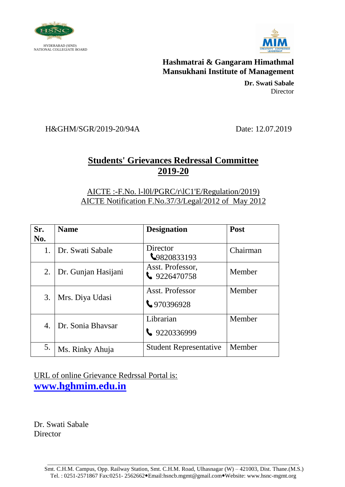



> **Dr. Swati Sabale** Director

H&GHM/SGR/2019-20/94A Date: 12.07.2019

### **Students' Grievances Redressal Committee 2019-20**

AICTE :-F.No. l-l0l/PGRC/r\lC1'E/Regulation/2019) AICTE Notification F.No.37/3/Legal/2012 of May 2012

| Sr.<br>No. | <b>Name</b>         | <b>Designation</b>                       | Post     |
|------------|---------------------|------------------------------------------|----------|
| 1.         | Dr. Swati Sabale    | Director<br>₹9820833193                  | Chairman |
| 2.         | Dr. Gunjan Hasijani | Asst. Professor,<br>$\bigcup$ 9226470758 | Member   |
| 3.         | Mrs. Diya Udasi     | Asst. Professor<br>↓970396928            | Member   |
| 4.         | Dr. Sonia Bhaysar   | Librarian<br>$\big\}$ 9220336999         | Member   |
| 5.         | Ms. Rinky Ahuja     | <b>Student Representative</b>            | Member   |

URL of online Grievance Redrssal Portal is: **[www.hghmim.edu.in](http://www.hghmim.edu.in/)**

Dr. Swati Sabale **Director**